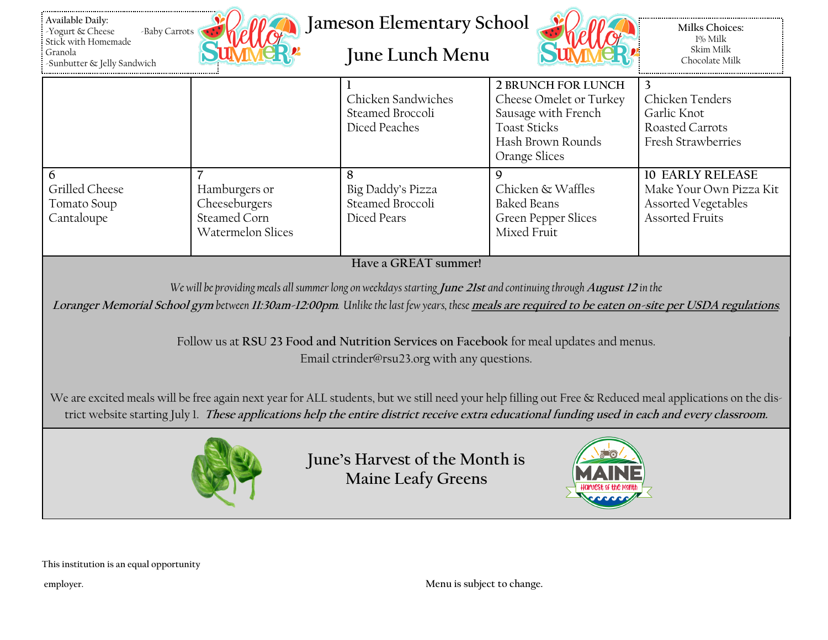| Available Daily:<br>-Baby Carrots<br>Yogurt & Cheese<br>Stick with Homemade<br>Granola<br>Sunbutter & Jelly Sandwich                                                                                                                                                                                                                                                                                                                        | <b>Milks Choices:</b><br>1% Milk<br>Skim Milk<br>Chocolate Milk                              |                                                           |                                                                                                                                          |                                                                                                     |  |  |  |
|---------------------------------------------------------------------------------------------------------------------------------------------------------------------------------------------------------------------------------------------------------------------------------------------------------------------------------------------------------------------------------------------------------------------------------------------|----------------------------------------------------------------------------------------------|-----------------------------------------------------------|------------------------------------------------------------------------------------------------------------------------------------------|-----------------------------------------------------------------------------------------------------|--|--|--|
|                                                                                                                                                                                                                                                                                                                                                                                                                                             |                                                                                              | Chicken Sandwiches<br>Steamed Broccoli<br>Diced Peaches   | <b>2 BRUNCH FOR LUNCH</b><br>Cheese Omelet or Turkey<br>Sausage with French<br><b>Toast Sticks</b><br>Hash Brown Rounds<br>Orange Slices | 3<br>Chicken Tenders<br>Garlic Knot<br>Roasted Carrots<br><b>Fresh Strawberries</b>                 |  |  |  |
| 6<br>Grilled Cheese<br>Tomato Soup<br>Cantaloupe                                                                                                                                                                                                                                                                                                                                                                                            | $\overline{7}$<br>Hamburgers or<br>Cheeseburgers<br>Steamed Corn<br><b>Watermelon Slices</b> | 8<br>Big Daddy's Pizza<br>Steamed Broccoli<br>Diced Pears | $\mathsf{Q}$<br>Chicken & Waffles<br><b>Baked Beans</b><br>Green Pepper Slices<br>Mixed Fruit                                            | <b>10 EARLY RELEASE</b><br>Make Your Own Pizza Kit<br>Assorted Vegetables<br><b>Assorted Fruits</b> |  |  |  |
| Have a GREAT summer!<br>We will be providing meals all summer long on weekdays starting June 21st and continuing through August 12 in the<br>Loranger Memorial School gym between 11:30am-12:00pm. Unlike the last few years, these meals are required to be eaten on-site per USDA regulations.<br>Follow us at RSU 23 Food and Nutrition Services on Facebook for meal updates and menus.<br>Email ctrinder@rsu23.org with any questions. |                                                                                              |                                                           |                                                                                                                                          |                                                                                                     |  |  |  |
| We are excited meals will be free again next year for ALL students, but we still need your help filling out Free & Reduced meal applications on the dis-<br>trict website starting July 1. These applications help the entire district receive extra educational funding used in each and every classroom.<br>June's Harvest of the Month is<br><b>Maine Leafy Greens</b>                                                                   |                                                                                              |                                                           |                                                                                                                                          |                                                                                                     |  |  |  |

**This institution is an equal opportunity**